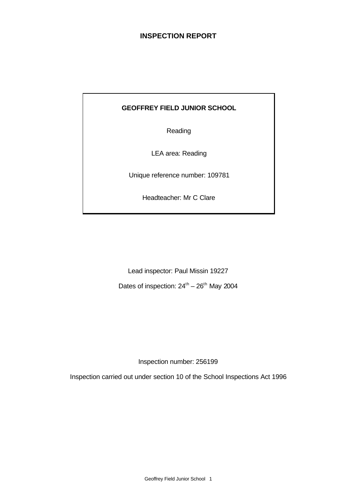# **INSPECTION REPORT**

### **GEOFFREY FIELD JUNIOR SCHOOL**

Reading

LEA area: Reading

Unique reference number: 109781

Headteacher: Mr C Clare

Lead inspector: Paul Missin 19227

Dates of inspection:  $24^{th} - 26^{th}$  May 2004

Inspection number: 256199

Inspection carried out under section 10 of the School Inspections Act 1996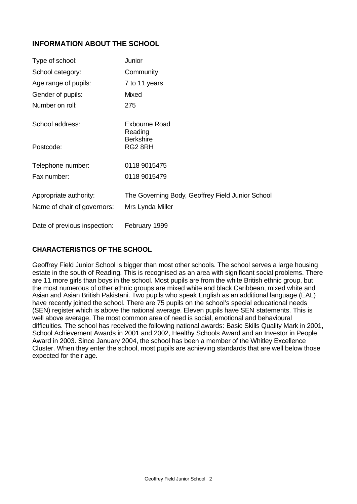# **INFORMATION ABOUT THE SCHOOL**

| Type of school:              | Junior                                           |
|------------------------------|--------------------------------------------------|
| School category:             | Community                                        |
| Age range of pupils:         | 7 to 11 years                                    |
| Gender of pupils:            | Mixed                                            |
| Number on roll:              | 275                                              |
| School address:              | Exbourne Road<br>Reading<br><b>Berkshire</b>     |
| Postcode:                    | RG2 8RH                                          |
| Telephone number:            | 0118 9015475                                     |
| Fax number:                  | 0118 9015479                                     |
| Appropriate authority:       | The Governing Body, Geoffrey Field Junior School |
| Name of chair of governors:  | Mrs Lynda Miller                                 |
| Date of previous inspection: | February 1999                                    |

# **CHARACTERISTICS OF THE SCHOOL**

Geoffrey Field Junior School is bigger than most other schools. The school serves a large housing estate in the south of Reading. This is recognised as an area with significant social problems. There are 11 more girls than boys in the school. Most pupils are from the white British ethnic group, but the most numerous of other ethnic groups are mixed white and black Caribbean, mixed white and Asian and Asian British Pakistani. Two pupils who speak English as an additional language (EAL) have recently joined the school. There are 75 pupils on the school's special educational needs (SEN) register which is above the national average. Eleven pupils have SEN statements. This is well above average. The most common area of need is social, emotional and behavioural difficulties. The school has received the following national awards: Basic Skills Quality Mark in 2001, School Achievement Awards in 2001 and 2002, Healthy Schools Award and an Investor in People Award in 2003. Since January 2004, the school has been a member of the Whitley Excellence Cluster. When they enter the school, most pupils are achieving standards that are well below those expected for their age.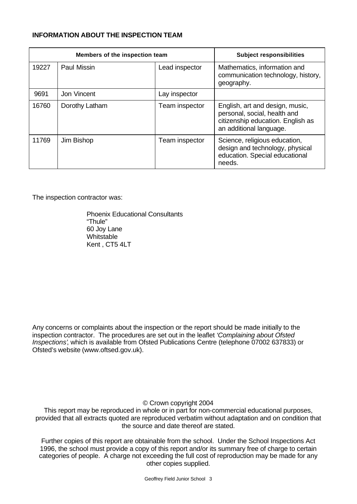### **INFORMATION ABOUT THE INSPECTION TEAM**

| Members of the inspection team |                |                | <b>Subject responsibilities</b>                                                                                                 |
|--------------------------------|----------------|----------------|---------------------------------------------------------------------------------------------------------------------------------|
| 19227                          | Paul Missin    | Lead inspector | Mathematics, information and<br>communication technology, history,<br>geography.                                                |
| 9691                           | Jon Vincent    | Lay inspector  |                                                                                                                                 |
| 16760                          | Dorothy Latham | Team inspector | English, art and design, music,<br>personal, social, health and<br>citizenship education. English as<br>an additional language. |
| 11769                          | Jim Bishop     | Team inspector | Science, religious education,<br>design and technology, physical<br>education. Special educational<br>needs.                    |

The inspection contractor was:

Phoenix Educational Consultants "Thule" 60 Joy Lane **Whitstable** Kent , CT5 4LT

Any concerns or complaints about the inspection or the report should be made initially to the inspection contractor. The procedures are set out in the leaflet *'Complaining about Ofsted Inspections'*, which is available from Ofsted Publications Centre (telephone 07002 637833) or Ofsted's website (www.oftsed.gov.uk).

© Crown copyright 2004

This report may be reproduced in whole or in part for non-commercial educational purposes, provided that all extracts quoted are reproduced verbatim without adaptation and on condition that the source and date thereof are stated.

Further copies of this report are obtainable from the school. Under the School Inspections Act 1996, the school must provide a copy of this report and/or its summary free of charge to certain categories of people. A charge not exceeding the full cost of reproduction may be made for any other copies supplied.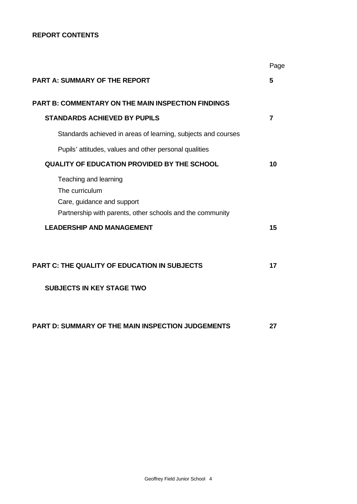## **REPORT CONTENTS**

|                                                                                                                                    | Page |
|------------------------------------------------------------------------------------------------------------------------------------|------|
| <b>PART A: SUMMARY OF THE REPORT</b>                                                                                               | 5    |
| <b>PART B: COMMENTARY ON THE MAIN INSPECTION FINDINGS</b>                                                                          |      |
| <b>STANDARDS ACHIEVED BY PUPILS</b>                                                                                                | 7    |
| Standards achieved in areas of learning, subjects and courses                                                                      |      |
| Pupils' attitudes, values and other personal qualities                                                                             |      |
| QUALITY OF EDUCATION PROVIDED BY THE SCHOOL                                                                                        | 10   |
| Teaching and learning<br>The curriculum<br>Care, guidance and support<br>Partnership with parents, other schools and the community |      |
| <b>LEADERSHIP AND MANAGEMENT</b>                                                                                                   | 15   |
| <b>PART C: THE QUALITY OF EDUCATION IN SUBJECTS</b>                                                                                | 17   |
|                                                                                                                                    |      |
| <b>SUBJECTS IN KEY STAGE TWO</b>                                                                                                   |      |
| <b>PART D: SUMMARY OF THE MAIN INSPECTION JUDGEMENTS</b>                                                                           | 27   |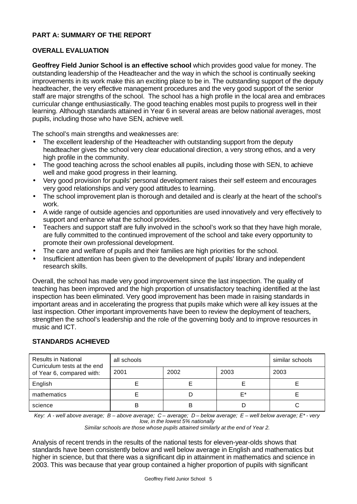# **PART A: SUMMARY OF THE REPORT**

# **OVERALL EVALUATION**

**Geoffrey Field Junior School is an effective school** which provides good value for money. The outstanding leadership of the Headteacher and the way in which the school is continually seeking improvements in its work make this an exciting place to be in. The outstanding support of the deputy headteacher, the very effective management procedures and the very good support of the senior staff are major strengths of the school. The school has a high profile in the local area and embraces curricular change enthusiastically. The good teaching enables most pupils to progress well in their learning. Although standards attained in Year 6 in several areas are below national averages, most pupils, including those who have SEN, achieve well.

The school's main strengths and weaknesses are:

- The excellent leadership of the Headteacher with outstanding support from the deputy headteacher gives the school very clear educational direction, a very strong ethos, and a very high profile in the community.
- The good teaching across the school enables all pupils, including those with SEN, to achieve well and make good progress in their learning.
- Very good provision for pupils' personal development raises their self esteem and encourages very good relationships and very good attitudes to learning.
- The school improvement plan is thorough and detailed and is clearly at the heart of the school's work.
- A wide range of outside agencies and opportunities are used innovatively and very effectively to support and enhance what the school provides.
- Teachers and support staff are fully involved in the school's work so that they have high morale, are fully committed to the continued improvement of the school and take every opportunity to promote their own professional development.
- The care and welfare of pupils and their families are high priorities for the school.
- Insufficient attention has been given to the development of pupils' library and independent research skills.

Overall, the school has made very good improvement since the last inspection. The quality of teaching has been improved and the high proportion of unsatisfactory teaching identified at the last inspection has been eliminated. Very good improvement has been made in raising standards in important areas and in accelerating the progress that pupils make which were all key issues at the last inspection. Other important improvements have been to review the deployment of teachers, strengthen the school's leadership and the role of the governing body and to improve resources in music and ICT.

# **STANDARDS ACHIEVED**

| <b>Results in National</b><br>Curriculum tests at the end | all schools | similar schools |      |      |
|-----------------------------------------------------------|-------------|-----------------|------|------|
| of Year 6, compared with:                                 | 2001        | 2002            | 2003 | 2003 |
| English                                                   |             |                 |      |      |
| mathematics                                               |             |                 | E*   |      |
| science                                                   |             | B               |      |      |

*Key: A - well above average; B – above average; C – average; D – below average; E – well below average; E\* - very low, in the lowest 5% nationally*

*Similar schools are those whose pupils attained similarly at the end of Year 2.*

Analysis of recent trends in the results of the national tests for eleven-year-olds shows that standards have been consistently below and well below average in English and mathematics but higher in science, but that there was a significant dip in attainment in mathematics and science in 2003. This was because that year group contained a higher proportion of pupils with significant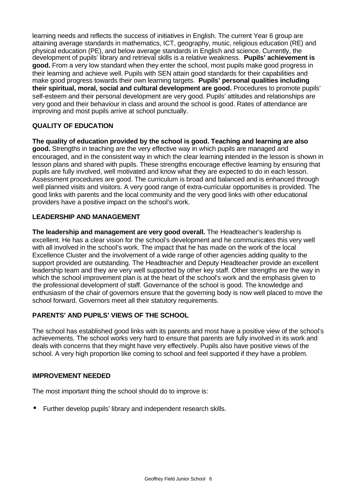learning needs and reflects the success of initiatives in English. The current Year 6 group are attaining average standards in mathematics, ICT, geography, music, religious education (RE) and physical education (PE), and below average standards in English and science. Currently, the development of pupils' library and retrieval skills is a relative weakness. **Pupils' achievement is good.** From a very low standard when they enter the school, most pupils make good progress in their learning and achieve well. Pupils with SEN attain good standards for their capabilities and make good progress towards their own learning targets. **Pupils' personal qualities including their spiritual, moral, social and cultural development are good.** Procedures to promote pupils' self-esteem and their personal development are very good. Pupils' attitudes and relationships are very good and their behaviour in class and around the school is good. Rates of attendance are improving and most pupils arrive at school punctually.

# **QUALITY OF EDUCATION**

**The quality of education provided by the school is good. Teaching and learning are also good.** Strengths in teaching are the very effective way in which pupils are managed and encouraged, and in the consistent way in which the clear learning intended in the lesson is shown in lesson plans and shared with pupils. These strengths encourage effective learning by ensuring that pupils are fully involved, well motivated and know what they are expected to do in each lesson. Assessment procedures are good. The curriculum is broad and balanced and is enhanced through well planned visits and visitors. A very good range of extra-curricular opportunities is provided. The good links with parents and the local community and the very good links with other educational providers have a positive impact on the school's work.

### **LEADERSHIP AND MANAGEMENT**

**The leadership and management are very good overall.** The Headteacher's leadership is excellent. He has a clear vision for the school's development and he communicates this very well with all involved in the school's work. The impact that he has made on the work of the local Excellence Cluster and the involvement of a wide range of other agencies adding quality to the support provided are outstanding. The Headteacher and Deputy Headteacher provide an excellent leadership team and they are very well supported by other key staff. Other strengths are the way in which the school improvement plan is at the heart of the school's work and the emphasis given to the professional development of staff. Governance of the school is good. The knowledge and enthusiasm of the chair of governors ensure that the governing body is now well placed to move the school forward. Governors meet all their statutory requirements.

### **PARENTS' AND PUPILS' VIEWS OF THE SCHOOL**

The school has established good links with its parents and most have a positive view of the school's achievements. The school works very hard to ensure that parents are fully involved in its work and deals with concerns that they might have very effectively. Pupils also have positive views of the school. A very high proportion like coming to school and feel supported if they have a problem.

### **IMPROVEMENT NEEDED**

The most important thing the school should do to improve is:

• Further develop pupils' library and independent research skills.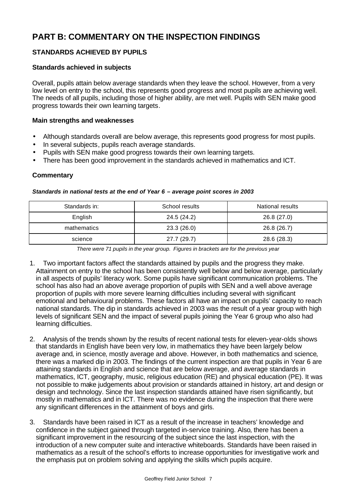# **PART B: COMMENTARY ON THE INSPECTION FINDINGS**

# **STANDARDS ACHIEVED BY PUPILS**

### **Standards achieved in subjects**

Overall, pupils attain below average standards when they leave the school. However, from a very low level on entry to the school, this represents good progress and most pupils are achieving well. The needs of all pupils, including those of higher ability, are met well. Pupils with SEN make good progress towards their own learning targets.

### **Main strengths and weaknesses**

- Although standards overall are below average, this represents good progress for most pupils.
- In several subjects, pupils reach average standards.
- Pupils with SEN make good progress towards their own learning targets.
- There has been good improvement in the standards achieved in mathematics and ICT.

### **Commentary**

| Standards in: | School results | National results |
|---------------|----------------|------------------|
| English       | 24.5 (24.2)    | 26.8 (27.0)      |
| mathematics   | 23.3(26.0)     | 26.8 (26.7)      |
| science       | 27.7 (29.7)    | 28.6 (28.3)      |

#### *Standards in national tests at the end of Year 6 – average point scores in 2003*

*There were 71 pupils in the year group. Figures in brackets are for the previous year*

- 1. Two important factors affect the standards attained by pupils and the progress they make. Attainment on entry to the school has been consistently well below and below average, particularly in all aspects of pupils' literacy work. Some pupils have significant communication problems. The school has also had an above average proportion of pupils with SEN and a well above average proportion of pupils with more severe learning difficulties including several with significant emotional and behavioural problems. These factors all have an impact on pupils' capacity to reach national standards. The dip in standards achieved in 2003 was the result of a year group with high levels of significant SEN and the impact of several pupils joining the Year 6 group who also had learning difficulties.
- 2. Analysis of the trends shown by the results of recent national tests for eleven-year-olds shows that standards in English have been very low, in mathematics they have been largely below average and, in science, mostly average and above. However, in both mathematics and science, there was a marked dip in 2003. The findings of the current inspection are that pupils in Year 6 are attaining standards in English and science that are below average, and average standards in mathematics, ICT, geography, music, religious education (RE) and physical education (PE). It was not possible to make judgements about provision or standards attained in history, art and design or design and technology. Since the last inspection standards attained have risen significantly, but mostly in mathematics and in ICT. There was no evidence during the inspection that there were any significant differences in the attainment of boys and girls.
- 3. Standards have been raised in ICT as a result of the increase in teachers' knowledge and confidence in the subject gained through targeted in-service training. Also, there has been a significant improvement in the resourcing of the subject since the last inspection, with the introduction of a new computer suite and interactive whiteboards. Standards have been raised in mathematics as a result of the school's efforts to increase opportunities for investigative work and the emphasis put on problem solving and applying the skills which pupils acquire.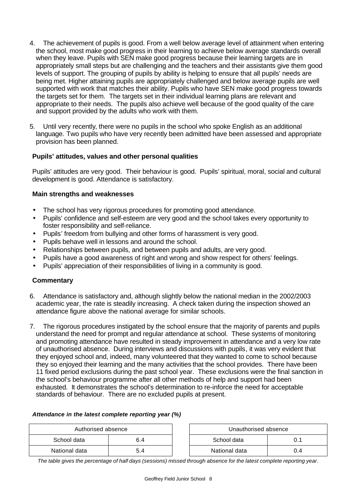- 4. The achievement of pupils is good. From a well below average level of attainment when entering the school, most make good progress in their learning to achieve below average standards overall when they leave. Pupils with SEN make good progress because their learning targets are in appropriately small steps but are challenging and the teachers and their assistants give them good levels of support. The grouping of pupils by ability is helping to ensure that all pupils' needs are being met. Higher attaining pupils are appropriately challenged and below average pupils are well supported with work that matches their ability. Pupils who have SEN make good progress towards the targets set for them. The targets set in their individual learning plans are relevant and appropriate to their needs. The pupils also achieve well because of the good quality of the care and support provided by the adults who work with them.
- 5. Until very recently, there were no pupils in the school who spoke English as an additional language. Two pupils who have very recently been admitted have been assessed and appropriate provision has been planned.

### **Pupils' attitudes, values and other personal qualities**

Pupils' attitudes are very good.Their behaviour is good.Pupils' spiritual, moral, social and cultural development is good. Attendance is satisfactory.

### **Main strengths and weaknesses**

- The school has very rigorous procedures for promoting good attendance.
- Pupils' confidence and self-esteem are very good and the school takes every opportunity to foster responsibility and self-reliance.
- Pupils' freedom from bullying and other forms of harassment is very good.
- Pupils behave well in lessons and around the school.
- Relationships between pupils, and between pupils and adults, are very good.
- Pupils have a good awareness of right and wrong and show respect for others' feelings.
- Pupils' appreciation of their responsibilities of living in a community is good.

### **Commentary**

- 6. Attendance is satisfactory and, although slightly below the national median in the 2002/2003 academic year, the rate is steadily increasing. A check taken during the inspection showed an attendance figure above the national average for similar schools.
- 7. The rigorous procedures instigated by the school ensure that the majority of parents and pupils understand the need for prompt and regular attendance at school. These systems of monitoring and promoting attendance have resulted in steady improvement in attendance and a very low rate of unauthorised absence. During interviews and discussions with pupils, it was very evident that they enjoyed school and, indeed, many volunteered that they wanted to come to school because they so enjoyed their learning and the many activities that the school provides. There have been 11 fixed period exclusions during the past school year. These exclusions were the final sanction in the school's behaviour programme after all other methods of help and support had been exhausted. It demonstrates the school's determination to re-inforce the need for acceptable standards of behaviour. There are no excluded pupils at present.

### *Attendance in the latest complete reporting year (%)*

| Authorised absence |     |  | Unauthorised absence |     |
|--------------------|-----|--|----------------------|-----|
| School data        | ö.4 |  | School data          |     |
| National data      | 5.4 |  | National data        | J.4 |

*The table gives the percentage of half days (sessions) missed through absence for the latest complete reporting year.*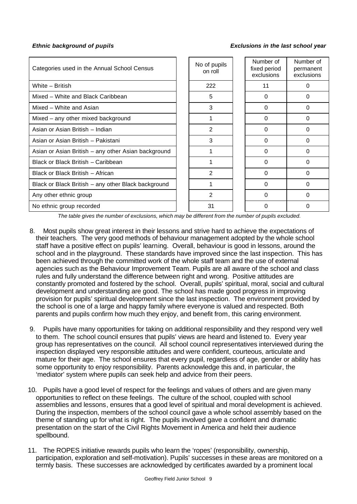### *Ethnic background of pupils Exclusions in the last school year*

| Categories used in the Annual School Census         | No of pupils<br>on roll | Number of<br>fixed period<br>exclusions | Number of<br>permanent<br>exclusions |
|-----------------------------------------------------|-------------------------|-----------------------------------------|--------------------------------------|
| White - British                                     | 222                     | 11                                      | 0                                    |
| Mixed - White and Black Caribbean                   | 5                       | 0                                       | 0                                    |
| Mixed - White and Asian                             | 3                       | $\Omega$                                | $\Omega$                             |
| Mixed – any other mixed background                  |                         | 0                                       | 0                                    |
| Asian or Asian British – Indian                     | $\overline{2}$          | 0                                       | 0                                    |
| Asian or Asian British - Pakistani                  | 3                       | 0                                       | 0                                    |
| Asian or Asian British – any other Asian background |                         | 0                                       | O                                    |
| Black or Black British - Caribbean                  |                         | 0                                       | $\Omega$                             |
| Black or Black British - African                    | 2                       | 0                                       | 0                                    |
| Black or Black British - any other Black background |                         | 0                                       | 0                                    |
| Any other ethnic group                              | $\mathfrak{p}$          | $\Omega$                                | 0                                    |
| No ethnic group recorded                            | 31                      | 0                                       | O                                    |

*The table gives the number of exclusions, which may be different from the number of pupils excluded.*

- 8. Most pupils show great interest in their lessons and strive hard to achieve the expectations of their teachers. The very good methods of behaviour management adopted by the whole school staff have a positive effect on pupils' learning. Overall, behaviour is good in lessons, around the school and in the playground. These standards have improved since the last inspection. This has been achieved through the committed work of the whole staff team and the use of external agencies such as the Behaviour Improvement Team. Pupils are all aware of the school and class rules and fully understand the difference between right and wrong. Positive attitudes are constantly promoted and fostered by the school. Overall, pupils' spiritual, moral, social and cultural development and understanding are good. The school has made good progress in improving provision for pupils' spiritual development since the last inspection. The environment provided by the school is one of a large and happy family where everyone is valued and respected. Both parents and pupils confirm how much they enjoy, and benefit from, this caring environment.
- 9. Pupils have many opportunities for taking on additional responsibility and they respond very well to them. The school council ensures that pupils' views are heard and listened to. Every year group has representatives on the council. All school council representatives interviewed during the inspection displayed very responsible attitudes and were confident, courteous, articulate and mature for their age. The school ensures that every pupil, regardless of age, gender or ability has some opportunity to enjoy responsibility. Parents acknowledge this and, in particular, the 'mediator' system where pupils can seek help and advice from their peers.
- 10. Pupils have a good level of respect for the feelings and values of others and are given many opportunities to reflect on these feelings. The culture of the school, coupled with school assemblies and lessons, ensures that a good level of spiritual and moral development is achieved. During the inspection, members of the school council gave a whole school assembly based on the theme of standing up for what is right. The pupils involved gave a confident and dramatic presentation on the start of the Civil Rights Movement in America and held their audience spellbound.
- 11. The ROPES initiative rewards pupils who learn the 'ropes' (responsibility, ownership, participation, exploration and self-motivation). Pupils' successes in these areas are monitored on a termly basis. These successes are acknowledged by certificates awarded by a prominent local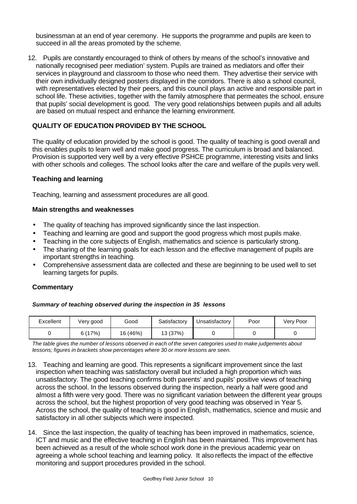businessman at an end of year ceremony. He supports the programme and pupils are keen to succeed in all the areas promoted by the scheme.

12. Pupils are constantly encouraged to think of others by means of the school's innovative and nationally recognised peer mediation' system. Pupils are trained as mediators and offer their services in playground and classroom to those who need them. They advertise their service with their own individually designed posters displayed in the corridors. There is also a school council, with representatives elected by their peers, and this council plays an active and responsible part in school life. These activities, together with the family atmosphere that permeates the school, ensure that pupils' social development is good. The very good relationships between pupils and all adults are based on mutual respect and enhance the learning environment.

## **QUALITY OF EDUCATION PROVIDED BY THE SCHOOL**

The quality of education provided by the school is good. The quality of teaching is good overall and this enables pupils to learn well and make good progress. The curriculum is broad and balanced. Provision is supported very well by a very effective PSHCE programme, interesting visits and links with other schools and colleges. The school looks after the care and welfare of the pupils very well.

### **Teaching and learning**

Teaching, learning and assessment procedures are all good.

### **Main strengths and weaknesses**

- The quality of teaching has improved significantly since the last inspection.
- Teaching and learning are good and support the good progress which most pupils make.
- Teaching in the core subjects of English, mathematics and science is particularly strong.
- The sharing of the learning goals for each lesson and the effective management of pupils are important strengths in teaching.
- Comprehensive assessment data are collected and these are beginning to be used well to set learning targets for pupils.

### **Commentary**

### *Summary of teaching observed during the inspection in 35 lessons*

| Excellent | Very good | Good     | Satisfactory | Unsatisfactory | Poor | Very Poor |
|-----------|-----------|----------|--------------|----------------|------|-----------|
|           | 6(17%)    | 16 (46%) | 13 (37%)     |                |      |           |

*The table gives the number of lessons observed in each of the seven categories used to make judgements about lessons; figures in brackets show percentages where 30 or more lessons are seen.*

- 13. Teaching and learning are good. This represents a significant improvement since the last inspection when teaching was satisfactory overall but included a high proportion which was unsatisfactory. The good teaching confirms both parents' and pupils' positive views of teaching across the school. In the lessons observed during the inspection, nearly a half were good and almost a fifth were very good. There was no significant variation between the different year groups across the school, but the highest proportion of very good teaching was observed in Year 5. Across the school, the quality of teaching is good in English, mathematics, science and music and satisfactory in all other subjects which were inspected.
- 14. Since the last inspection, the quality of teaching has been improved in mathematics, science, ICT and music and the effective teaching in English has been maintained. This improvement has been achieved as a result of the whole school work done in the previous academic year on agreeing a whole school teaching and learning policy. It also reflects the impact of the effective monitoring and support procedures provided in the school.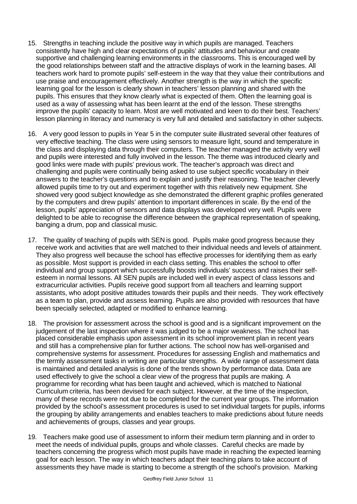- 15. Strengths in teaching include the positive way in which pupils are managed. Teachers consistently have high and clear expectations of pupils' attitudes and behaviour and create supportive and challenging learning environments in the classrooms. This is encouraged well by the good relationships between staff and the attractive displays of work in the learning bases. All teachers work hard to promote pupils' self-esteem in the way that they value their contributions and use praise and encouragement effectively. Another strength is the way in which the specific learning goal for the lesson is clearly shown in teachers' lesson planning and shared with the pupils. This ensures that they know clearly what is expected of them. Often the learning goal is used as a way of assessing what has been learnt at the end of the lesson. These strengths improve the pupils' capacity to learn. Most are well motivated and keen to do their best. Teachers' lesson planning in literacy and numeracy is very full and detailed and satisfactory in other subjects.
- 16. A very good lesson to pupils in Year 5 in the computer suite illustrated several other features of very effective teaching. The class were using sensors to measure light, sound and temperature in the class and displaying data through their computers. The teacher managed the activity very well and pupils were interested and fully involved in the lesson. The theme was introduced clearly and good links were made with pupils' previous work. The teacher's approach was direct and challenging and pupils were continually being asked to use subject specific vocabulary in their answers to the teacher's questions and to explain and justify their reasoning. The teacher cleverly allowed pupils time to try out and experiment together with this relatively new equipment. She showed very good subject knowledge as she demonstrated the different graphic profiles generated by the computers and drew pupils' attention to important differences in scale. By the end of the lesson, pupils' appreciation of sensors and data displays was developed very well. Pupils were delighted to be able to recognise the difference between the graphical representation of speaking, banging a drum, pop and classical music.
- 17. The quality of teaching of pupils with SEN is good. Pupils make good progress because they receive work and activities that are well matched to their individual needs and levels of attainment. They also progress well because the school has effective processes for identifying them as early as possible. Most support is provided in each class setting. This enables the school to offer individual and group support which successfully boosts individuals' success and raises their selfesteem in normal lessons. All SEN pupils are included well in every aspect of class lessons and extracurricular activities. Pupils receive good support from all teachers and learning support assistants, who adopt positive attitudes towards their pupils and their needs. They work effectively as a team to plan, provide and assess learning. Pupils are also provided with resources that have been specially selected, adapted or modified to enhance learning.
- 18. The provision for assessment across the school is good and is a significant improvement on the judgement of the last inspection where it was judged to be a major weakness. The school has placed considerable emphasis upon assessment in its school improvement plan in recent years and still has a comprehensive plan for further actions. The school now has well-organised and comprehensive systems for assessment. Procedures for assessing English and mathematics and the termly assessment tasks in writing are particular strengths. A wide range of assessment data is maintained and detailed analysis is done of the trends shown by performance data. Data are used effectively to give the school a clear view of the progress that pupils are making. A programme for recording what has been taught and achieved, which is matched to National Curriculum criteria, has been devised for each subject. However, at the time of the inspection, many of these records were not due to be completed for the current year groups. The information provided by the school's assessment procedures is used to set individual targets for pupils, informs the grouping by ability arrangements and enables teachers to make predictions about future needs and achievements of groups, classes and year groups.
- 19. Teachers make good use of assessment to inform their medium term planning and in order to meet the needs of individual pupils, groups and whole classes. Careful checks are made by teachers concerning the progress which most pupils have made in reaching the expected learning goal for each lesson. The way in which teachers adapt their teaching plans to take account of assessments they have made is starting to become a strength of the school's provision. Marking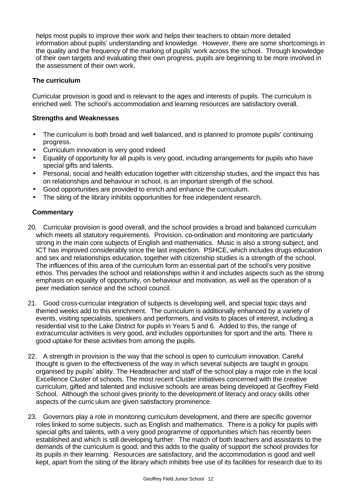helps most pupils to improve their work and helps their teachers to obtain more detailed information about pupils' understanding and knowledge. However, there are some shortcomings in the quality and the frequency of the marking of pupils' work across the school. Through knowledge of their own targets and evaluating their own progress, pupils are beginning to be more involved in the assessment of their own work.

### **The curriculum**

Curricular provision is good and is relevant to the ages and interests of pupils. The curriculum is enriched well. The school's accommodation and learning resources are satisfactory overall.

### **Strengths and Weaknesses**

- The curriculum is both broad and well balanced, and is planned to promote pupils' continuing progress.
- Curriculum innovation is very good indeed
- Equality of opportunity for all pupils is very good, including arrangements for pupils who have special gifts and talents.
- Personal, social and health education together with citizenship studies, and the impact this has on relationships and behaviour in school, is an important strength of the school.
- Good opportunities are provided to enrich and enhance the curriculum.
- The siting of the library inhibits opportunities for free independent research.

- 20. Curricular provision is good overall, and the school provides a broad and balanced curriculum which meets all statutory requirements. Provision, co-ordination and monitoring are particularly strong in the main core subjects of English and mathematics. Music is also a strong subject, and ICT has improved considerably since the last inspection. PSHCE, which includes drugs education and sex and relationships education, together with citizenship studies is a strength of the school. The influences of this area of the curriculum form an essential part of the school's very positive ethos. This pervades the school and relationships within it and includes aspects such as the strong emphasis on equality of opportunity, on behaviour and motivation, as well as the operation of a peer mediation service and the school council.
- 21. Good cross-curricular integration of subjects is developing well, and special topic days and themed weeks add to this enrichment. The curriculum is additionally enhanced by a variety of events, visiting specialists, speakers and performers, and visits to places of interest, including a residential visit to the Lake District for pupils in Years 5 and 6. Added to this, the range of extracurricular activities is very good, and includes opportunities for sport and the arts. There is good uptake for these activities from among the pupils.
- 22. A strength in provision is the way that the school is open to curriculum innovation. Careful thought is given to the effectiveness of the way in which several subjects are taught in groups organised by pupils' ability. The Headteacher and staff of the school play a major role in the local Excellence Cluster of schools. The most recent Cluster initiatives concerned with the creative curriculum, gifted and talented and inclusive schools are areas being developed at Geoffrey Field School. Although the school gives priority to the development of literacy and oracy skills other aspects of the curriculum are given satisfactory prominence.
- 23. Governors play a role in monitoring curriculum development, and there are specific governor roles linked to some subjects, such as English and mathematics. There is a policy for pupils with special gifts and talents, with a very good programme of opportunities which has recently been established and which is still developing further. The match of both teachers and assistants to the demands of the curriculum is good, and this adds to the quality of support the school provides for its pupils in their learning. Resources are satisfactory, and the accommodation is good and well kept, apart from the siting of the library which inhibits free use of its facilities for research due to its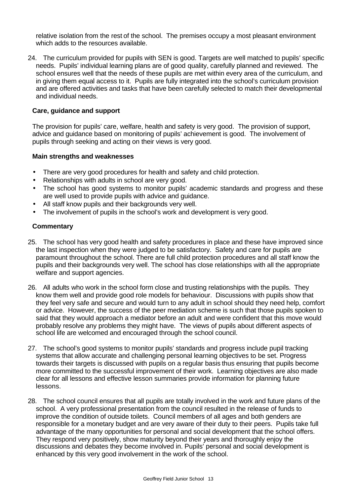relative isolation from the rest of the school. The premises occupy a most pleasant environment which adds to the resources available.

24. The curriculum provided for pupils with SEN is good. Targets are well matched to pupils' specific needs. Pupils' individual learning plans are of good quality, carefully planned and reviewed. The school ensures well that the needs of these pupils are met within every area of the curriculum, and in giving them equal access to it. Pupils are fully integrated into the school's curriculum provision and are offered activities and tasks that have been carefully selected to match their developmental and individual needs.

### **Care, guidance and support**

The provision for pupils' care, welfare, health and safety is very good. The provision of support, advice and guidance based on monitoring of pupils' achievement is good. The involvement of pupils through seeking and acting on their views is very good.

### **Main strengths and weaknesses**

- There are very good procedures for health and safety and child protection.
- Relationships with adults in school are very good.
- The school has good systems to monitor pupils' academic standards and progress and these are well used to provide pupils with advice and guidance.
- All staff know pupils and their backgrounds very well.
- The involvement of pupils in the school's work and development is very good.

- 25. The school has very good health and safety procedures in place and these have improved since the last inspection when they were judged to be satisfactory. Safety and care for pupils are paramount throughout the school. There are full child protection procedures and all staff know the pupils and their backgrounds very well. The school has close relationships with all the appropriate welfare and support agencies.
- 26. All adults who work in the school form close and trusting relationships with the pupils. They know them well and provide good role models for behaviour. Discussions with pupils show that they feel very safe and secure and would turn to any adult in school should they need help, comfort or advice. However, the success of the peer mediation scheme is such that those pupils spoken to said that they would approach a mediator before an adult and were confident that this move would probably resolve any problems they might have. The views of pupils about different aspects of school life are welcomed and encouraged through the school council.
- 27. The school's good systems to monitor pupils' standards and progress include pupil tracking systems that allow accurate and challenging personal learning objectives to be set. Progress towards their targets is discussed with pupils on a regular basis thus ensuring that pupils become more committed to the successful improvement of their work. Learning objectives are also made clear for all lessons and effective lesson summaries provide information for planning future lessons.
- 28. The school council ensures that all pupils are totally involved in the work and future plans of the school. A very professional presentation from the council resulted in the release of funds to improve the condition of outside toilets. Council members of all ages and both genders are responsible for a monetary budget and are very aware of their duty to their peers. Pupils take full advantage of the many opportunities for personal and social development that the school offers. They respond very positively, show maturity beyond their years and thoroughly enjoy the discussions and debates they become involved in. Pupils' personal and social development is enhanced by this very good involvement in the work of the school.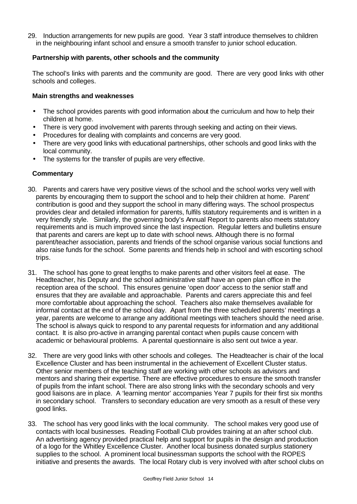29. Induction arrangements for new pupils are good. Year 3 staff introduce themselves to children in the neighbouring infant school and ensure a smooth transfer to junior school education.

### **Partnership with parents, other schools and the community**

The school's links with parents and the community are good. There are very good links with other schools and colleges.

### **Main strengths and weaknesses**

- The school provides parents with good information about the curriculum and how to help their children at home.
- There is very good involvement with parents through seeking and acting on their views.
- Procedures for dealing with complaints and concerns are very good.
- There are very good links with educational partnerships, other schools and good links with the local community.
- The systems for the transfer of pupils are very effective.

- 30. Parents and carers have very positive views of the school and the school works very well with parents by encouraging them to support the school and to help their children at home. Parent' contribution is good and they support the school in many differing ways. The school prospectus provides clear and detailed information for parents, fulfils statutory requirements and is written in a very friendly style. Similarly, the governing body's Annual Report to parents also meets statutory requirements and is much improved since the last inspection. Regular letters and bulletins ensure that parents and carers are kept up to date with school news. Although there is no formal parent/teacher association, parents and friends of the school organise various social functions and also raise funds for the school. Some parents and friends help in school and with escorting school trips.
- 31. The school has gone to great lengths to make parents and other visitors feel at ease. The Headteacher, his Deputy and the school administrative staff have an open plan office in the reception area of the school. This ensures genuine 'open door' access to the senior staff and ensures that they are available and approachable. Parents and carers appreciate this and feel more comfortable about approaching the school. Teachers also make themselves available for informal contact at the end of the school day. Apart from the three scheduled parents' meetings a year, parents are welcome to arrange any additional meetings with teachers should the need arise. The school is always quick to respond to any parental requests for information and any additional contact. It is also pro-active in arranging parental contact when pupils cause concern with academic or behavioural problems. A parental questionnaire is also sent out twice a year.
- 32. There are very good links with other schools and colleges. The Headteacher is chair of the local Excellence Cluster and has been instrumental in the achievement of Excellent Cluster status. Other senior members of the teaching staff are working with other schools as advisors and mentors and sharing their expertise. There are effective procedures to ensure the smooth transfer of pupils from the infant school. There are also strong links with the secondary schools and very good liaisons are in place. A 'learning mentor' accompanies Year 7 pupils for their first six months in secondary school. Transfers to secondary education are very smooth as a result of these very good links.
- 33. The school has very good links with the local community. The school makes very good use of contacts with local businesses. Reading Football Club provides training at an after school club. An advertising agency provided practical help and support for pupils in the design and production of a logo for the Whitley Excellence Cluster. Another local business donated surplus stationery supplies to the school. A prominent local businessman supports the school with the ROPES initiative and presents the awards. The local Rotary club is very involved with after school clubs on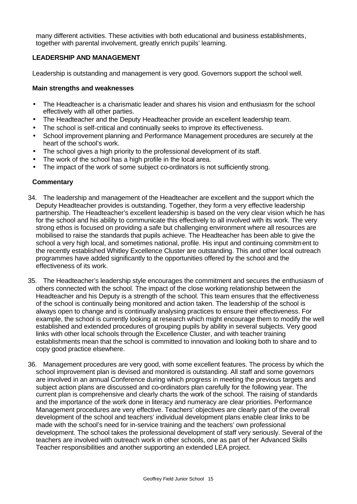many different activities. These activities with both educational and business establishments, together with parental involvement, greatly enrich pupils' learning.

### **LEADERSHIP AND MANAGEMENT**

Leadership is outstanding and management is very good. Governors support the school well.

### **Main strengths and weaknesses**

- The Headteacher is a charismatic leader and shares his vision and enthusiasm for the school effectively with all other parties.
- The Headteacher and the Deputy Headteacher provide an excellent leadership team.
- The school is self-critical and continually seeks to improve its effectiveness.
- School improvement planning and Performance Management procedures are securely at the heart of the school's work.
- The school gives a high priority to the professional development of its staff.
- The work of the school has a high profile in the local area.
- The impact of the work of some subject co-ordinators is not sufficiently strong.

- 34. The leadership and management of the Headteacher are excellent and the support which the Deputy Headteacher provides is outstanding. Together, they form a very effective leadership partnership. The Headteacher's excellent leadership is based on the very clear vision which he has for the school and his ability to communicate this effectively to all involved with its work. The very strong ethos is focused on providing a safe but challenging environment where all resources are mobilised to raise the standards that pupils achieve. The Headteacher has been able to give the school a very high local, and sometimes national, profile. His input and continuing commitment to the recently established Whitley Excellence Cluster are outstanding. This and other local outreach programmes have added significantly to the opportunities offered by the school and the effectiveness of its work.
- 35. The Headteacher's leadership style encourages the commitment and secures the enthusiasm of others connected with the school. The impact of the close working relationship between the Headteacher and his Deputy is a strength of the school. This team ensures that the effectiveness of the school is continually being monitored and action taken. The leadership of the school is always open to change and is continually analysing practices to ensure their effectiveness. For example, the school is currently looking at research which might encourage them to modify the well established and extended procedures of grouping pupils by ability in several subjects. Very good links with other local schools through the Excellence Cluster, and with teacher training establishments mean that the school is committed to innovation and looking both to share and to copy good practice elsewhere.
- 36. Management procedures are very good, with some excellent features. The process by which the school improvement plan is devised and monitored is outstanding. All staff and some governors are involved in an annual Conference during which progress in meeting the previous targets and subject action plans are discussed and co-ordinators plan carefully for the following year. The current plan is comprehensive and clearly charts the work of the school. The raising of standards and the importance of the work done in literacy and numeracy are clear priorities. Performance Management procedures are very effective. Teachers' objectives are clearly part of the overall development of the school and teachers' individual development plans enable clear links to be made with the school's need for in-service training and the teachers' own professional development. The school takes the professional development of staff very seriously. Several of the teachers are involved with outreach work in other schools, one as part of her Advanced Skills Teacher responsibilities and another supporting an extended LEA project.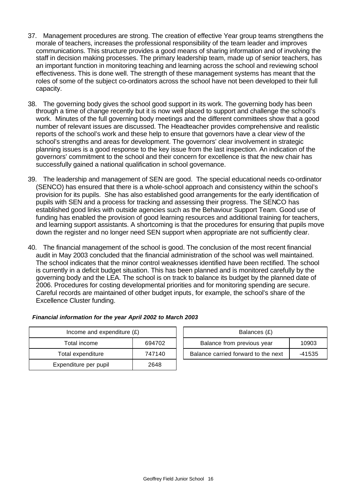- 37. Management procedures are strong. The creation of effective Year group teams strengthens the morale of teachers, increases the professional responsibility of the team leader and improves communications. This structure provides a good means of sharing information and of involving the staff in decision making processes. The primary leadership team, made up of senior teachers, has an important function in monitoring teaching and learning across the school and reviewing school effectiveness. This is done well. The strength of these management systems has meant that the roles of some of the subject co-ordinators across the school have not been developed to their full capacity.
- 38. The governing body gives the school good support in its work. The governing body has been through a time of change recently but it is now well placed to support and challenge the school's work. Minutes of the full governing body meetings and the different committees show that a good number of relevant issues are discussed. The Headteacher provides comprehensive and realistic reports of the school's work and these help to ensure that governors have a clear view of the school's strengths and areas for development. The governors' clear involvement in strategic planning issues is a good response to the key issue from the last inspection. An indication of the governors' commitment to the school and their concern for excellence is that the new chair has successfully gained a national qualification in school governance.
- 39. The leadership and management of SEN are good. The special educational needs co-ordinator (SENCO) has ensured that there is a whole-school approach and consistency within the school's provision for its pupils. She has also established good arrangements for the early identification of pupils with SEN and a process for tracking and assessing their progress. The SENCO has established good links with outside agencies such as the Behaviour Support Team. Good use of funding has enabled the provision of good learning resources and additional training for teachers, and learning support assistants. A shortcoming is that the procedures for ensuring that pupils move down the register and no longer need SEN support when appropriate are not sufficiently clear.
- 40. The financial management of the school is good. The conclusion of the most recent financial audit in May 2003 concluded that the financial administration of the school was well maintained. The school indicates that the minor control weaknesses identified have been rectified. The school is currently in a deficit budget situation. This has been planned and is monitored carefully by the governing body and the LEA. The school is on track to balance its budget by the planned date of 2006. Procedures for costing developmental priorities and for monitoring spending are secure. Careful records are maintained of other budget inputs, for example, the school's share of the Excellence Cluster funding.

| Income and expenditure $(E)$ |        | Balances (£)                   |
|------------------------------|--------|--------------------------------|
| Total income                 | 694702 | Balance from previous year     |
| Total expenditure            | 747140 | Balance carried forward to the |
| Expenditure per pupil        | 2648   |                                |

| Financial information for the year April 2002 to March 2003 |
|-------------------------------------------------------------|
|-------------------------------------------------------------|

| Income and expenditure $(E)$ |        | Balances (£)                        |        |
|------------------------------|--------|-------------------------------------|--------|
| Total income                 | 694702 | Balance from previous year          | 10903  |
| Total expenditure            | 747140 | Balance carried forward to the next | -41535 |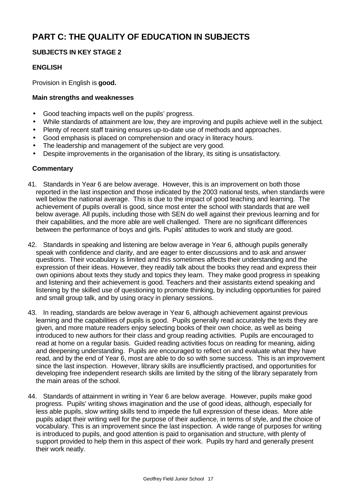# **PART C: THE QUALITY OF EDUCATION IN SUBJECTS**

### **SUBJECTS IN KEY STAGE 2**

### **ENGLISH**

Provision in English is **good.**

### **Main strengths and weaknesses**

- Good teaching impacts well on the pupils' progress.
- While standards of attainment are low, they are improving and pupils achieve well in the subject.
- Plenty of recent staff training ensures up-to-date use of methods and approaches.
- Good emphasis is placed on comprehension and oracy in literacy hours.
- The leadership and management of the subject are very good.
- Despite improvements in the organisation of the library, its siting is unsatisfactory.

- 41. Standards in Year 6 are below average. However, this is an improvement on both those reported in the last inspection and those indicated by the 2003 national tests, when standards were well below the national average. This is due to the impact of good teaching and learning. The achievement of pupils overall is good, since most enter the school with standards that are well below average. All pupils, including those with SEN do well against their previous learning and for their capabilities, and the more able are well challenged. There are no significant differences between the performance of boys and girls. Pupils' attitudes to work and study are good.
- 42. Standards in speaking and listening are below average in Year 6, although pupils generally speak with confidence and clarity, and are eager to enter discussions and to ask and answer questions. Their vocabulary is limited and this sometimes affects their understanding and the expression of their ideas. However, they readily talk about the books they read and express their own opinions about texts they study and topics they learn. They make good progress in speaking and listening and their achievement is good. Teachers and their assistants extend speaking and listening by the skilled use of questioning to promote thinking, by including opportunities for paired and small group talk, and by using oracy in plenary sessions.
- 43. In reading, standards are below average in Year 6, although achievement against previous learning and the capabilities of pupils is good. Pupils generally read accurately the texts they are given, and more mature readers enjoy selecting books of their own choice, as well as being introduced to new authors for their class and group reading activities. Pupils are encouraged to read at home on a regular basis. Guided reading activities focus on reading for meaning, aiding and deepening understanding. Pupils are encouraged to reflect on and evaluate what they have read, and by the end of Year 6, most are able to do so with some success. This is an improvement since the last inspection. However, library skills are insufficiently practised, and opportunities for developing free independent research skills are limited by the siting of the library separately from the main areas of the school.
- 44. Standards of attainment in writing in Year 6 are below average. However, pupils make good progress. Pupils' writing shows imagination and the use of good ideas, although, especially for less able pupils, slow writing skills tend to impede the full expression of these ideas. More able pupils adapt their writing well for the purpose of their audience, in terms of style, and the choice of vocabulary. This is an improvement since the last inspection. A wide range of purposes for writing is introduced to pupils, and good attention is paid to organisation and structure, with plenty of support provided to help them in this aspect of their work. Pupils try hard and generally present their work neatly.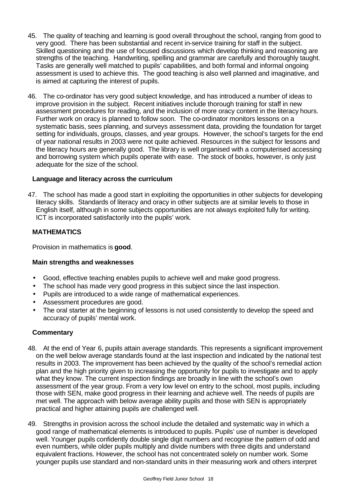- 45. The quality of teaching and learning is good overall throughout the school, ranging from good to very good. There has been substantial and recent in-service training for staff in the subject. Skilled questioning and the use of focused discussions which develop thinking and reasoning are strengths of the teaching. Handwriting, spelling and grammar are carefully and thoroughly taught. Tasks are generally well matched to pupils' capabilities, and both formal and informal ongoing assessment is used to achieve this. The good teaching is also well planned and imaginative, and is aimed at capturing the interest of pupils.
- 46. The co-ordinator has very good subject knowledge, and has introduced a number of ideas to improve provision in the subject. Recent initiatives include thorough training for staff in new assessment procedures for reading, and the inclusion of more oracy content in the literacy hours. Further work on oracy is planned to follow soon. The co-ordinator monitors lessons on a systematic basis, sees planning, and surveys assessment data, providing the foundation for target setting for individuals, groups, classes, and year groups. However, the school's targets for the end of year national results in 2003 were not quite achieved. Resources in the subject for lessons and the literacy hours are generally good. The library is well organised with a computerised accessing and borrowing system which pupils operate with ease. The stock of books, however, is only just adequate for the size of the school.

### **Language and literacy across the curriculum**

47. The school has made a good start in exploiting the opportunities in other subjects for developing literacy skills. Standards of literacy and oracy in other subjects are at similar levels to those in English itself, although in some subjects opportunities are not always exploited fully for writing. ICT is incorporated satisfactorily into the pupils' work.

### **MATHEMATICS**

Provision in mathematics is **good**.

### **Main strengths and weaknesses**

- Good, effective teaching enables pupils to achieve well and make good progress.
- The school has made very good progress in this subject since the last inspection.
- Pupils are introduced to a wide range of mathematical experiences.
- Assessment procedures are good.
- The oral starter at the beginning of lessons is not used consistently to develop the speed and accuracy of pupils' mental work.

- 48. At the end of Year 6, pupils attain average standards. This represents a significant improvement on the well below average standards found at the last inspection and indicated by the national test results in 2003. The improvement has been achieved by the quality of the school's remedial action plan and the high priority given to increasing the opportunity for pupils to investigate and to apply what they know. The current inspection findings are broadly in line with the school's own assessment of the year group. From a very low level on entry to the school, most pupils, including those with SEN, make good progress in their learning and achieve well. The needs of pupils are met well. The approach with below average ability pupils and those with SEN is appropriately practical and higher attaining pupils are challenged well.
- 49. Strengths in provision across the school include the detailed and systematic way in which a good range of mathematical elements is introduced to pupils. Pupils' use of number is developed well. Younger pupils confidently double single digit numbers and recognise the pattern of odd and even numbers, while older pupils multiply and divide numbers with three digits and understand equivalent fractions. However, the school has not concentrated solely on number work. Some younger pupils use standard and non-standard units in their measuring work and others interpret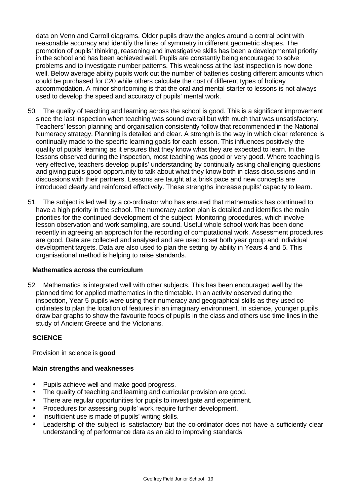data on Venn and Carroll diagrams. Older pupils draw the angles around a central point with reasonable accuracy and identify the lines of symmetry in different geometric shapes. The promotion of pupils' thinking, reasoning and investigative skills has been a developmental priority in the school and has been achieved well. Pupils are constantly being encouraged to solve problems and to investigate number patterns. This weakness at the last inspection is now done well. Below average ability pupils work out the number of batteries costing different amounts which could be purchased for £20 while others calculate the cost of different types of holiday accommodation. A minor shortcoming is that the oral and mental starter to lessons is not always used to develop the speed and accuracy of pupils' mental work.

- 50. The quality of teaching and learning across the school is good. This is a significant improvement since the last inspection when teaching was sound overall but with much that was unsatisfactory. Teachers' lesson planning and organisation consistently follow that recommended in the National Numeracy strategy. Planning is detailed and clear. A strength is the way in which clear reference is continually made to the specific learning goals for each lesson. This influences positively the quality of pupils' learning as it ensures that they know what they are expected to learn. In the lessons observed during the inspection, most teaching was good or very good. Where teaching is very effective, teachers develop pupils' understanding by continually asking challenging questions and giving pupils good opportunity to talk about what they know both in class discussions and in discussions with their partners. Lessons are taught at a brisk pace and new concepts are introduced clearly and reinforced effectively. These strengths increase pupils' capacity to learn.
- 51. The subject is led well by a co-ordinator who has ensured that mathematics has continued to have a high priority in the school. The numeracy action plan is detailed and identifies the main priorities for the continued development of the subject. Monitoring procedures, which involve lesson observation and work sampling, are sound. Useful whole school work has been done recently in agreeing an approach for the recording of computational work. Assessment procedures are good. Data are collected and analysed and are used to set both year group and individual development targets. Data are also used to plan the setting by ability in Years 4 and 5. This organisational method is helping to raise standards.

### **Mathematics across the curriculum**

52. Mathematics is integrated well with other subjects. This has been encouraged well by the planned time for applied mathematics in the timetable. In an activity observed during the inspection, Year 5 pupils were using their numeracy and geographical skills as they used coordinates to plan the location of features in an imaginary environment. In science, younger pupils draw bar graphs to show the favourite foods of pupils in the class and others use time lines in the study of Ancient Greece and the Victorians.

### **SCIENCE**

Provision in science is **good**

### **Main strengths and weaknesses**

- Pupils achieve well and make good progress.
- The quality of teaching and learning and curricular provision are good.
- There are regular opportunities for pupils to investigate and experiment.
- Procedures for assessing pupils' work require further development.
- Insufficient use is made of pupils' writing skills.
- Leadership of the subject is satisfactory but the co-ordinator does not have a sufficiently clear understanding of performance data as an aid to improving standards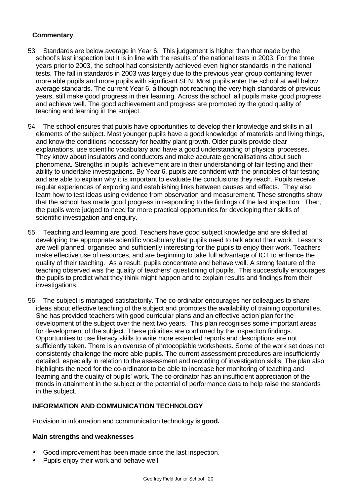# **Commentary**

- 53. Standards are below average in Year 6. This judgement is higher than that made by the school's last inspection but it is in line with the results of the national tests in 2003. For the three years prior to 2003, the school had consistently achieved even higher standards in the national tests. The fall in standards in 2003 was largely due to the previous year group containing fewer more able pupils and more pupils with significant SEN. Most pupils enter the school at well below average standards. The current Year 6, although not reaching the very high standards of previous years, still make good progress in their learning. Across the school, all pupils make good progress and achieve well. The good achievement and progress are promoted by the good quality of teaching and learning in the subject.
- 54. The school ensures that pupils have opportunities to develop their knowledge and skills in all elements of the subject. Most younger pupils have a good knowledge of materials and living things, and know the conditions necessary for healthy plant growth. Older pupils provide clear explanations, use scientific vocabulary and have a good understanding of physical processes. They know about insulators and conductors and make accurate generalisations about such phenomena. Strengths in pupils' achievement are in their understanding of fair testing and their ability to undertake investigations. By Year 6, pupils are confident with the principles of fair testing and are able to explain why it is important to evaluate the conclusions they reach. Pupils receive regular experiences of exploring and establishing links between causes and effects. They also learn how to test ideas using evidence from observation and measurement. These strengths show that the school has made good progress in responding to the findings of the last inspection. Then, the pupils were judged to need far more practical opportunities for developing their skills of scientific investigation and enquiry.
- 55. Teaching and learning are good. Teachers have good subject knowledge and are skilled at developing the appropriate scientific vocabulary that pupils need to talk about their work. Lessons are well planned, organised and sufficiently interesting for the pupils to enjoy their work. Teachers make effective use of resources, and are beginning to take full advantage of ICT to enhance the quality of their teaching. As a result, pupils concentrate and behave well. A strong feature of the teaching observed was the quality of teachers' questioning of pupils. This successfully encourages the pupils to predict what they think might happen and to explain results and findings from their investigations.
- 56. The subject is managed satisfactorily. The co-ordinator encourages her colleagues to share ideas about effective teaching of the subject and promotes the availability of training opportunities. She has provided teachers with good curricular plans and an effective action plan for the development of the subject over the next two years. This plan recognises some important areas for development of the subject. These priorities are confirmed by the inspection findings. Opportunities to use literacy skills to write more extended reports and descriptions are not sufficiently taken. There is an overuse of photocopiable worksheets. Some of the work set does not consistently challenge the more able pupils. The current assessment procedures are insufficiently detailed, especially in relation to the assessment and recording of investigation skills. The plan also highlights the need for the co-ordinator to be able to increase her monitoring of teaching and learning and the quality of pupils' work. The co-ordinator has an insufficient appreciation of the trends in attainment in the subject or the potential of performance data to help raise the standards in the subject.

# **INFORMATION AND COMMUNICATION TECHNOLOGY**

Provision in information and communication technology is **good.** 

### **Main strengths and weaknesses**

- Good improvement has been made since the last inspection.
- Pupils enjoy their work and behave well.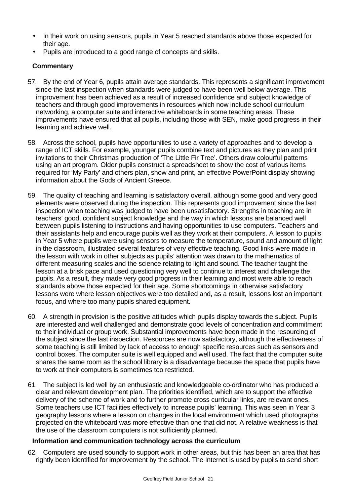- In their work on using sensors, pupils in Year 5 reached standards above those expected for their age.
- Pupils are introduced to a good range of concepts and skills.

# **Commentary**

- 57. By the end of Year 6, pupils attain average standards. This represents a significant improvement since the last inspection when standards were judged to have been well below average. This improvement has been achieved as a result of increased confidence and subject knowledge of teachers and through good improvements in resources which now include school curriculum networking, a computer suite and interactive whiteboards in some teaching areas. These improvements have ensured that all pupils, including those with SEN, make good progress in their learning and achieve well.
- 58. Across the school, pupils have opportunities to use a variety of approaches and to develop a range of ICT skills. For example, younger pupils combine text and pictures as they plan and print invitations to their Christmas production of 'The Little Fir Tree'. Others draw colourful patterns using an art program. Older pupils construct a spreadsheet to show the cost of various items required for 'My Party' and others plan, show and print, an effective PowerPoint display showing information about the Gods of Ancient Greece.
- 59. The quality of teaching and learning is satisfactory overall, although some good and very good elements were observed during the inspection. This represents good improvement since the last inspection when teaching was judged to have been unsatisfactory. Strengths in teaching are in teachers' good, confident subject knowledge and the way in which lessons are balanced well between pupils listening to instructions and having opportunities to use computers. Teachers and their assistants help and encourage pupils well as they work at their computers. A lesson to pupils in Year 5 where pupils were using sensors to measure the temperature, sound and amount of light in the classroom, illustrated several features of very effective teaching. Good links were made in the lesson with work in other subjects as pupils' attention was drawn to the mathematics of different measuring scales and the science relating to light and sound. The teacher taught the lesson at a brisk pace and used questioning very well to continue to interest and challenge the pupils. As a result, they made very good progress in their learning and most were able to reach standards above those expected for their age. Some shortcomings in otherwise satisfactory lessons were where lesson objectives were too detailed and, as a result, lessons lost an important focus, and where too many pupils shared equipment.
- 60. A strength in provision is the positive attitudes which pupils display towards the subject. Pupils are interested and well challenged and demonstrate good levels of concentration and commitment to their individual or group work. Substantial improvements have been made in the resourcing of the subject since the last inspection. Resources are now satisfactory, although the effectiveness of some teaching is still limited by lack of access to enough specific resources such as sensors and control boxes. The computer suite is well equipped and well used. The fact that the computer suite shares the same room as the school library is a disadvantage because the space that pupils have to work at their computers is sometimes too restricted.
- 61. The subject is led well by an enthusiastic and knowledgeable co-ordinator who has produced a clear and relevant development plan. The priorities identified, which are to support the effective delivery of the scheme of work and to further promote cross curricular links, are relevant ones. Some teachers use ICT facilities effectively to increase pupils' learning. This was seen in Year 3 geography lessons where a lesson on changes in the local environment which used photographs projected on the whiteboard was more effective than one that did not. A relative weakness is that the use of the classroom computers is not sufficiently planned.

### **Information and communication technology across the curriculum**

62. Computers are used soundly to support work in other areas, but this has been an area that has rightly been identified for improvement by the school. The Internet is used by pupils to send short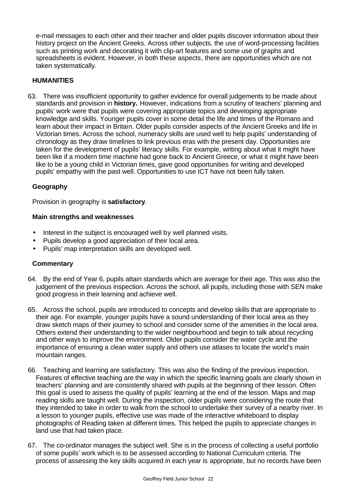e-mail messages to each other and their teacher and older pupils discover information about their history project on the Ancient Greeks. Across other subjects, the use of word-processing facilities such as printing work and decorating it with clip-art features and some use of graphs and spreadsheets is evident. However, in both these aspects, there are opportunities which are not taken systematically.

### **HUMANITIES**

63. There was insufficient opportunity to gather evidence for overall judgements to be made about standards and provision in **history.** However, indications from a scrutiny of teachers' planning and pupils' work were that pupils were covering appropriate topics and developing appropriate knowledge and skills. Younger pupils cover in some detail the life and times of the Romans and learn about their impact in Britain. Older pupils consider aspects of the Ancient Greeks and life in Victorian times. Across the school, numeracy skills are used well to help pupils' understanding of chronology as they draw timelines to link previous eras with the present day. Opportunities are taken for the development of pupils' literacy skills. For example, writing about what it might have been like if a modern time machine had gone back to Ancient Greece, or what it might have been like to be a young child in Victorian times, gave good opportunities for writing and developed pupils' empathy with the past well. Opportunities to use ICT have not been fully taken.

### **Geography**

Provision in geography is **satisfactory**.

### **Main strengths and weaknesses**

- Interest in the subject is encouraged well by well planned visits.
- Pupils develop a good appreciation of their local area.
- Pupils' map interpretation skills are developed well.

- 64. By the end of Year 6, pupils attain standards which are average for their age. This was also the judgement of the previous inspection. Across the school, all pupils, including those with SEN make good progress in their learning and achieve well.
- 65. Across the school, pupils are introduced to concepts and develop skills that are appropriate to their age. For example, younger pupils have a sound understanding of their local area as they draw sketch maps of their journey to school and consider some of the amenities in the local area. Others extend their understanding to the wider neighbourhood and begin to talk about recycling and other ways to improve the environment. Older pupils consider the water cycle and the importance of ensuring a clean water supply and others use atlases to locate the world's main mountain ranges.
- 66. Teaching and learning are satisfactory. This was also the finding of the previous inspection. Features of effective teaching are the way in which the specific learning goals are clearly shown in teachers' planning and are consistently shared with pupils at the beginning of their lesson. Often this goal is used to assess the quality of pupils' learning at the end of the lesson. Maps and map reading skills are taught well. During the inspection, older pupils were considering the route that they intended to take in order to walk from the school to undertake their survey of a nearby river. In a lesson to younger pupils, effective use was made of the interactive whiteboard to display photographs of Reading taken at different times. This helped the pupils to appreciate changes in land use that had taken place.
- 67. The co-ordinator manages the subject well. She is in the process of collecting a useful portfolio of some pupils' work which is to be assessed according to National Curriculum criteria. The process of assessing the key skills acquired in each year is appropriate, but no records have been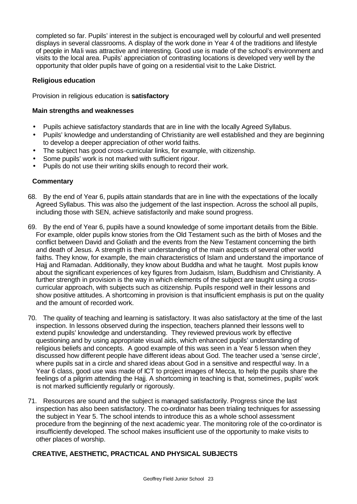completed so far. Pupils' interest in the subject is encouraged well by colourful and well presented displays in several classrooms. A display of the work done in Year 4 of the traditions and lifestyle of people in Mali was attractive and interesting. Good use is made of the school's environment and visits to the local area. Pupils' appreciation of contrasting locations is developed very well by the opportunity that older pupils have of going on a residential visit to the Lake District.

### **Religious education**

Provision in religious education is **satisfactory**

### **Main strengths and weaknesses**

- Pupils achieve satisfactory standards that are in line with the locally Agreed Syllabus.
- Pupils' knowledge and understanding of Christianity are well established and they are beginning to develop a deeper appreciation of other world faiths.
- The subject has good cross-curricular links, for example, with citizenship.
- Some pupils' work is not marked with sufficient rigour.
- Pupils do not use their writing skills enough to record their work.

### **Commentary**

- 68. By the end of Year 6, pupils attain standards that are in line with the expectations of the locally Agreed Syllabus. This was also the judgement of the last inspection. Across the school all pupils, including those with SEN, achieve satisfactorily and make sound progress.
- 69. By the end of Year 6, pupils have a sound knowledge of some important details from the Bible. For example, older pupils know stories from the Old Testament such as the birth of Moses and the conflict between David and Goliath and the events from the New Testament concerning the birth and death of Jesus. A strength is their understanding of the main aspects of several other world faiths. They know, for example, the main characteristics of Islam and understand the importance of Hajj and Ramadan. Additionally, they know about Buddha and what he taught. Most pupils know about the significant experiences of key figures from Judaism, Islam, Buddhism and Christianity. A further strength in provision is the way in which elements of the subject are taught using a crosscurricular approach, with subjects such as citizenship. Pupils respond well in their lessons and show positive attitudes. A shortcoming in provision is that insufficient emphasis is put on the quality and the amount of recorded work.
- 70. The quality of teaching and learning is satisfactory. It was also satisfactory at the time of the last inspection. In lessons observed during the inspection, teachers planned their lessons well to extend pupils' knowledge and understanding. They reviewed previous work by effective questioning and by using appropriate visual aids, which enhanced pupils' understanding of religious beliefs and concepts. A good example of this was seen in a Year 5 lesson when they discussed how different people have different ideas about God. The teacher used a 'sense circle', where pupils sat in a circle and shared ideas about God in a sensitive and respectful way. In a Year 6 class, good use was made of ICT to project images of Mecca, to help the pupils share the feelings of a pilgrim attending the Hajj. A shortcoming in teaching is that, sometimes, pupils' work is not marked sufficiently regularly or rigorously.
- 71. Resources are sound and the subject is managed satisfactorily. Progress since the last inspection has also been satisfactory. The co-ordinator has been trialing techniques for assessing the subject in Year 5. The school intends to introduce this as a whole school assessment procedure from the beginning of the next academic year. The monitoring role of the co-ordinator is insufficiently developed. The school makes insufficient use of the opportunity to make visits to other places of worship.

# **CREATIVE, AESTHETIC, PRACTICAL AND PHYSICAL SUBJECTS**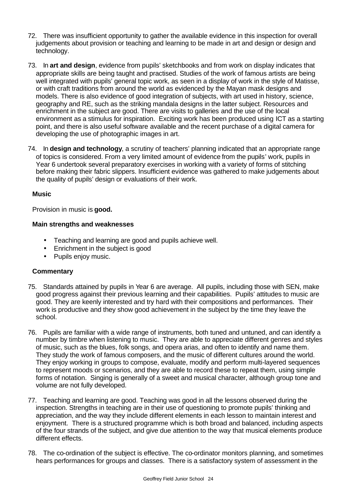- 72. There was insufficient opportunity to gather the available evidence in this inspection for overall judgements about provision or teaching and learning to be made in art and design or design and technology.
- 73. In **art and design**, evidence from pupils' sketchbooks and from work on display indicates that appropriate skills are being taught and practised. Studies of the work of famous artists are being well integrated with pupils' general topic work, as seen in a display of work in the style of Matisse, or with craft traditions from around the world as evidenced by the Mayan mask designs and models. There is also evidence of good integration of subjects, with art used in history, science, geography and RE, such as the striking mandala designs in the latter subject. Resources and enrichment in the subject are good. There are visits to galleries and the use of the local environment as a stimulus for inspiration. Exciting work has been produced using ICT as a starting point, and there is also useful software available and the recent purchase of a digital camera for developing the use of photographic images in art.
- 74. In **design and technology**, a scrutiny of teachers' planning indicated that an appropriate range of topics is considered. From a very limited amount of evidence from the pupils' work, pupils in Year 6 undertook several preparatory exercises in working with a variety of forms of stitching before making their fabric slippers. Insufficient evidence was gathered to make judgements about the quality of pupils' design or evaluations of their work.

### **Music**

Provision in music is **good.**

### **Main strengths and weaknesses**

- Teaching and learning are good and pupils achieve well.
- Enrichment in the subject is good
- Pupils enjoy music.

- 75. Standards attained by pupils in Year 6 are average. All pupils, including those with SEN, make good progress against their previous learning and their capabilities. Pupils' attitudes to music are good. They are keenly interested and try hard with their compositions and performances. Their work is productive and they show good achievement in the subject by the time they leave the school.
- 76. Pupils are familiar with a wide range of instruments, both tuned and untuned, and can identify a number by timbre when listening to music. They are able to appreciate different genres and styles of music, such as the blues, folk songs, and opera arias, and often to identify and name them. They study the work of famous composers, and the music of different cultures around the world. They enjoy working in groups to compose, evaluate, modify and perform multi-layered sequences to represent moods or scenarios, and they are able to record these to repeat them, using simple forms of notation. Singing is generally of a sweet and musical character, although group tone and volume are not fully developed.
- 77. Teaching and learning are good. Teaching was good in all the lessons observed during the inspection. Strengths in teaching are in their use of questioning to promote pupils' thinking and appreciation, and the way they include different elements in each lesson to maintain interest and enjoyment. There is a structured programme which is both broad and balanced, including aspects of the four strands of the subject, and give due attention to the way that musical elements produce different effects.
- 78. The co-ordination of the subject is effective. The co-ordinator monitors planning, and sometimes hears performances for groups and classes. There is a satisfactory system of assessment in the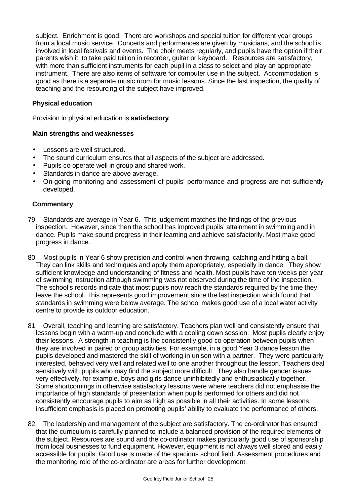subject. Enrichment is good. There are workshops and special tuition for different year groups from a local music service. Concerts and performances are given by musicians, and the school is involved in local festivals and events. The choir meets regularly, and pupils have the option if their parents wish it, to take paid tuition in recorder, guitar or keyboard. Resources are satisfactory, with more than sufficient instruments for each pupil in a class to select and play an appropriate instrument. There are also items of software for computer use in the subject. Accommodation is good as there is a separate music room for music lessons. Since the last inspection, the quality of teaching and the resourcing of the subject have improved.

### **Physical education**

Provision in physical education is **satisfactory**.

### **Main strengths and weaknesses**

- Lessons are well structured.
- The sound curriculum ensures that all aspects of the subject are addressed.
- Pupils co-operate well in group and shared work.
- Standards in dance are above average.
- On-going monitoring and assessment of pupils' performance and progress are not sufficiently developed.

- 79. Standards are average in Year 6. This judgement matches the findings of the previous inspection. However, since then the school has improved pupils' attainment in swimming and in dance. Pupils make sound progress in their learning and achieve satisfactorily. Most make good progress in dance.
- 80. Most pupils in Year 6 show precision and control when throwing, catching and hitting a ball. They can link skills and techniques and apply them appropriately, especially in dance. They show sufficient knowledge and understanding of fitness and health. Most pupils have ten weeks per year of swimming instruction although swimming was not observed during the time of the inspection. The school's records indicate that most pupils now reach the standards required by the time they leave the school. This represents good improvement since the last inspection which found that standards in swimming were below average. The school makes good use of a local water activity centre to provide its outdoor education.
- 81. Overall, teaching and learning are satisfactory. Teachers plan well and consistently ensure that lessons begin with a warm-up and conclude with a cooling down session. Most pupils clearly enjoy their lessons. A strength in teaching is the consistently good co-operation between pupils when they are involved in paired or group activities. For example, in a good Year 3 dance lesson the pupils developed and mastered the skill of working in unison with a partner. They were particularly interested, behaved very well and related well to one another throughout the lesson. Teachers deal sensitively with pupils who may find the subject more difficult. They also handle gender issues very effectively, for example, boys and girls dance uninhibitedly and enthusiastically together. Some shortcomings in otherwise satisfactory lessons were where teachers did not emphasise the importance of high standards of presentation when pupils performed for others and did not consistently encourage pupils to aim as high as possible in all their activities. In some lessons, insufficient emphasis is placed on promoting pupils' ability to evaluate the performance of others.
- 82. The leadership and management of the subject are satisfactory. The co-ordinator has ensured that the curriculum is carefully planned to include a balanced provision of the required elements of the subject. Resources are sound and the co-ordinator makes particularly good use of sponsorship from local businesses to fund equipment. However, equipment is not always well stored and easily accessible for pupils. Good use is made of the spacious school field. Assessment procedures and the monitoring role of the co-ordinator are areas for further development.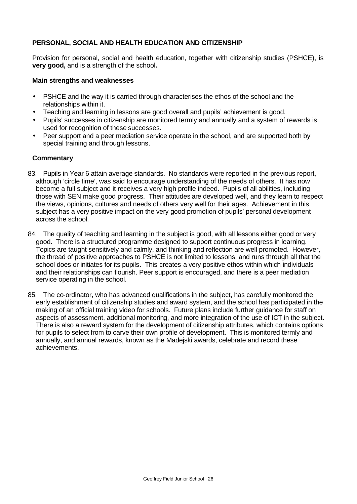# **PERSONAL, SOCIAL AND HEALTH EDUCATION AND CITIZENSHIP**

Provision for personal, social and health education, together with citizenship studies (PSHCE), is **very good,** and is a strength of the school**.**

### **Main strengths and weaknesses**

- PSHCE and the way it is carried through characterises the ethos of the school and the relationships within it.
- Teaching and learning in lessons are good overall and pupils' achievement is good.
- Pupils' successes in citizenship are monitored termly and annually and a system of rewards is used for recognition of these successes.
- Peer support and a peer mediation service operate in the school, and are supported both by special training and through lessons.

- 83. Pupils in Year 6 attain average standards. No standards were reported in the previous report, although 'circle time', was said to encourage understanding of the needs of others. It has now become a full subject and it receives a very high profile indeed. Pupils of all abilities, including those with SEN make good progress. Their attitudes are developed well, and they learn to respect the views, opinions, cultures and needs of others very well for their ages. Achievement in this subject has a very positive impact on the very good promotion of pupils' personal development across the school.
- 84. The quality of teaching and learning in the subject is good, with all lessons either good or very good. There is a structured programme designed to support continuous progress in learning. Topics are taught sensitively and calmly, and thinking and reflection are well promoted. However, the thread of positive approaches to PSHCE is not limited to lessons, and runs through all that the school does or initiates for its pupils. This creates a very positive ethos within which individuals and their relationships can flourish. Peer support is encouraged, and there is a peer mediation service operating in the school.
- 85. The co-ordinator, who has advanced qualifications in the subject, has carefully monitored the early establishment of citizenship studies and award system, and the school has participated in the making of an official training video for schools. Future plans include further guidance for staff on aspects of assessment, additional monitoring, and more integration of the use of ICT in the subject. There is also a reward system for the development of citizenship attributes, which contains options for pupils to select from to carve their own profile of development. This is monitored termly and annually, and annual rewards, known as the Madejski awards, celebrate and record these achievements.